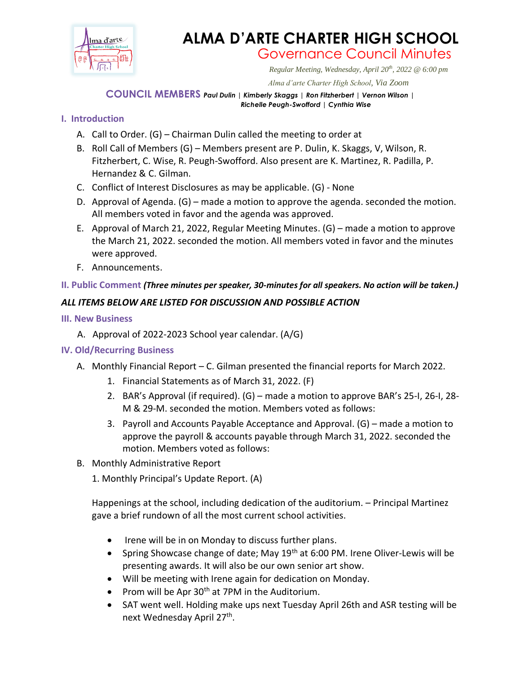

# **ALMA D'ARTE CHARTER HIGH SCHOOL** Governance Council Minutes

*Regular Meeting, Wednesday, April 20th, 2022 @ 6:00 pm*

 *Alma d'arte Charter High School, Via Zoom*

#### **COUNCIL MEMBERS** *Paul Dulin | Kimberly Skaggs | Ron Fitzherbert <sup>|</sup> Vernon Wilson | Richelle Peugh-Swofford | Cynthia Wise*

# **I. Introduction**

- A. Call to Order. (G) Chairman Dulin called the meeting to order at
- B. Roll Call of Members (G) Members present are P. Dulin, K. Skaggs, V, Wilson, R. Fitzherbert, C. Wise, R. Peugh-Swofford. Also present are K. Martinez, R. Padilla, P. Hernandez & C. Gilman.
- C. Conflict of Interest Disclosures as may be applicable. (G) None
- D. Approval of Agenda. (G) made a motion to approve the agenda. seconded the motion. All members voted in favor and the agenda was approved.
- E. Approval of March 21, 2022, Regular Meeting Minutes. (G) made a motion to approve the March 21, 2022. seconded the motion. All members voted in favor and the minutes were approved.
- F. Announcements.

### **II. Public Comment** *(Three minutes per speaker, 30-minutes for all speakers. No action will be taken.)*

# *ALL ITEMS BELOW ARE LISTED FOR DISCUSSION AND POSSIBLE ACTION*

- **III. New Business** 
	- A. Approval of 2022-2023 School year calendar. (A/G)

### **IV. Old/Recurring Business**

- A. Monthly Financial Report C. Gilman presented the financial reports for March 2022.
	- 1. Financial Statements as of March 31, 2022. (F)
	- 2. BAR's Approval (if required). (G) made a motion to approve BAR's 25-I, 26-I, 28- M & 29-M. seconded the motion. Members voted as follows:
	- 3. Payroll and Accounts Payable Acceptance and Approval. (G) made a motion to approve the payroll & accounts payable through March 31, 2022. seconded the motion. Members voted as follows:
- B. Monthly Administrative Report
	- 1. Monthly Principal's Update Report. (A)

Happenings at the school, including dedication of the auditorium. – Principal Martinez gave a brief rundown of all the most current school activities.

- Irene will be in on Monday to discuss further plans.
- Spring Showcase change of date; May  $19<sup>th</sup>$  at 6:00 PM. Irene Oliver-Lewis will be presenting awards. It will also be our own senior art show.
- Will be meeting with Irene again for dedication on Monday.
- Prom will be Apr  $30<sup>th</sup>$  at 7PM in the Auditorium.
- SAT went well. Holding make ups next Tuesday April 26th and ASR testing will be next Wednesday April 27<sup>th</sup>.